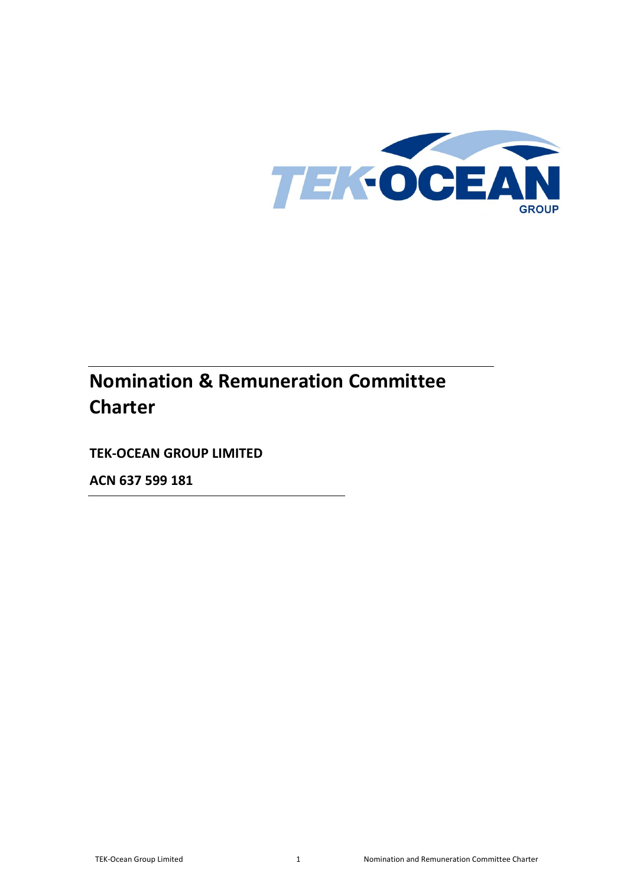

# **Nomination & Remuneration Committee Charter**

**TEK-OCEAN GROUP LIMITED**

**ACN 637 599 181**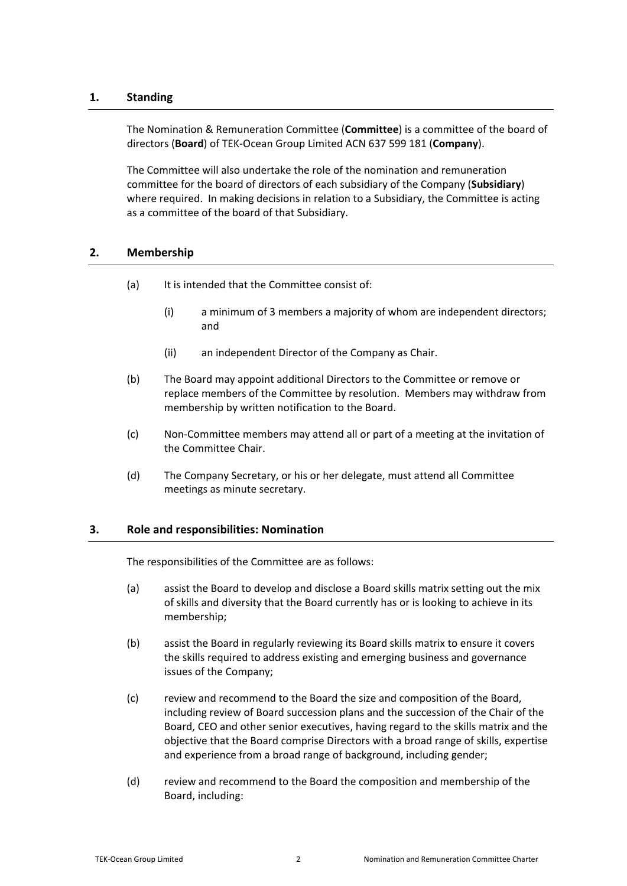# **1. Standing**

The Nomination & Remuneration Committee (**Committee**) is a committee of the board of directors (**Board**) of TEK-Ocean Group Limited ACN 637 599 181 (**Company**).

The Committee will also undertake the role of the nomination and remuneration committee for the board of directors of each subsidiary of the Company (**Subsidiary**) where required. In making decisions in relation to a Subsidiary, the Committee is acting as a committee of the board of that Subsidiary.

## **2. Membership**

- (a) It is intended that the Committee consist of:
	- (i) a minimum of 3 members a majority of whom are independent directors; and
	- (ii) an independent Director of the Company as Chair.
- (b) The Board may appoint additional Directors to the Committee or remove or replace members of the Committee by resolution. Members may withdraw from membership by written notification to the Board.
- (c) Non-Committee members may attend all or part of a meeting at the invitation of the Committee Chair.
- (d) The Company Secretary, or his or her delegate, must attend all Committee meetings as minute secretary.

## **3. Role and responsibilities: Nomination**

The responsibilities of the Committee are as follows:

- (a) assist the Board to develop and disclose a Board skills matrix setting out the mix of skills and diversity that the Board currently has or is looking to achieve in its membership;
- (b) assist the Board in regularly reviewing its Board skills matrix to ensure it covers the skills required to address existing and emerging business and governance issues of the Company;
- (c) review and recommend to the Board the size and composition of the Board, including review of Board succession plans and the succession of the Chair of the Board, CEO and other senior executives, having regard to the skills matrix and the objective that the Board comprise Directors with a broad range of skills, expertise and experience from a broad range of background, including gender;
- (d) review and recommend to the Board the composition and membership of the Board, including: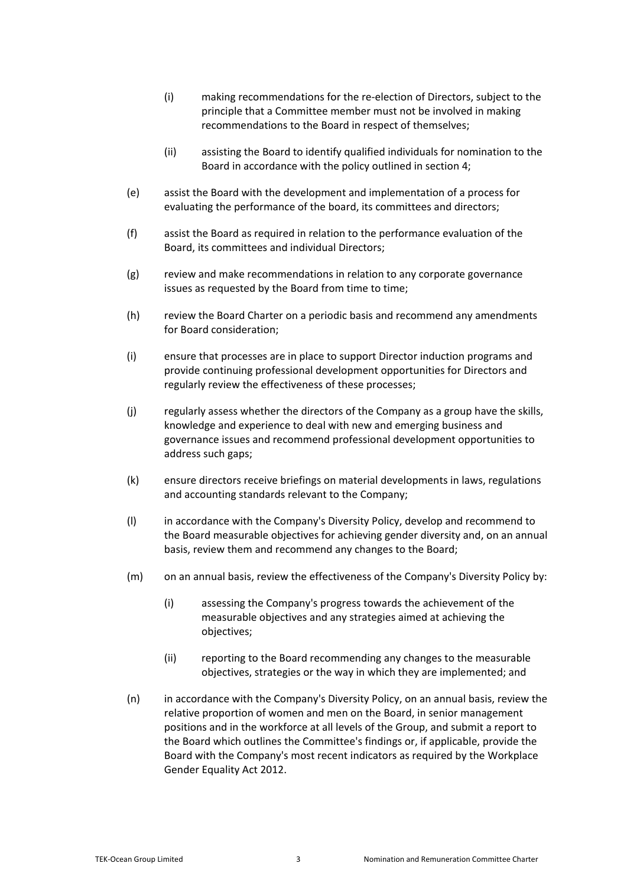- (i) making recommendations for the re-election of Directors, subject to the principle that a Committee member must not be involved in making recommendations to the Board in respect of themselves;
- (ii) assisting the Board to identify qualified individuals for nomination to the Board in accordance with the policy outlined in section [4;](#page-3-0)
- (e) assist the Board with the development and implementation of a process for evaluating the performance of the board, its committees and directors;
- (f) assist the Board as required in relation to the performance evaluation of the Board, its committees and individual Directors;
- (g) review and make recommendations in relation to any corporate governance issues as requested by the Board from time to time;
- (h) review the Board Charter on a periodic basis and recommend any amendments for Board consideration;
- (i) ensure that processes are in place to support Director induction programs and provide continuing professional development opportunities for Directors and regularly review the effectiveness of these processes;
- (j) regularly assess whether the directors of the Company as a group have the skills, knowledge and experience to deal with new and emerging business and governance issues and recommend professional development opportunities to address such gaps;
- (k) ensure directors receive briefings on material developments in laws, regulations and accounting standards relevant to the Company;
- (l) in accordance with the Company's Diversity Policy, develop and recommend to the Board measurable objectives for achieving gender diversity and, on an annual basis, review them and recommend any changes to the Board;
- (m) on an annual basis, review the effectiveness of the Company's Diversity Policy by:
	- (i) assessing the Company's progress towards the achievement of the measurable objectives and any strategies aimed at achieving the objectives;
	- (ii) reporting to the Board recommending any changes to the measurable objectives, strategies or the way in which they are implemented; and
- (n) in accordance with the Company's Diversity Policy, on an annual basis, review the relative proportion of women and men on the Board, in senior management positions and in the workforce at all levels of the Group, and submit a report to the Board which outlines the Committee's findings or, if applicable, provide the Board with the Company's most recent indicators as required by the Workplace Gender Equality Act 2012.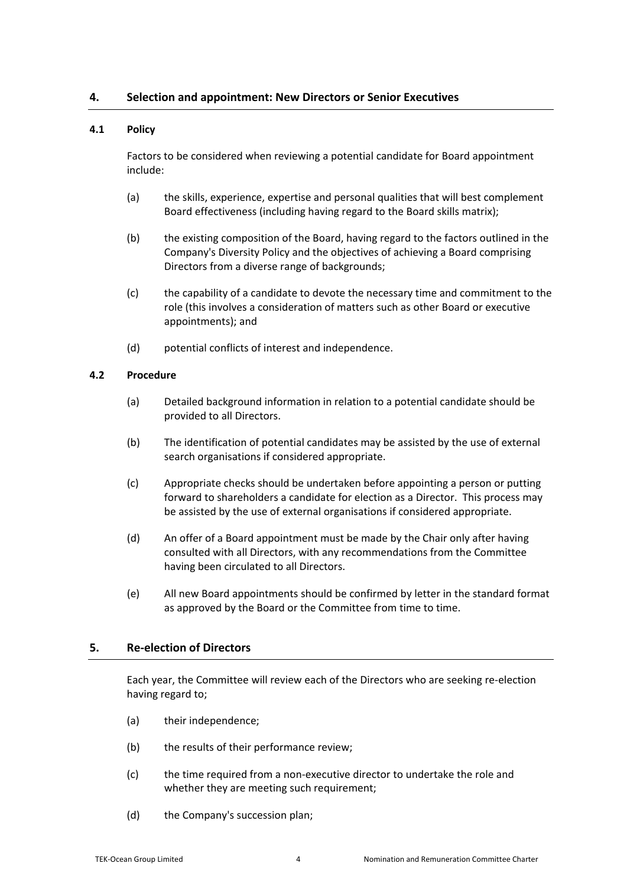## <span id="page-3-0"></span>**4. Selection and appointment: New Directors or Senior Executives**

## **4.1 Policy**

Factors to be considered when reviewing a potential candidate for Board appointment include:

- (a) the skills, experience, expertise and personal qualities that will best complement Board effectiveness (including having regard to the Board skills matrix);
- (b) the existing composition of the Board, having regard to the factors outlined in the Company's Diversity Policy and the objectives of achieving a Board comprising Directors from a diverse range of backgrounds;
- (c) the capability of a candidate to devote the necessary time and commitment to the role (this involves a consideration of matters such as other Board or executive appointments); and
- (d) potential conflicts of interest and independence.

#### **4.2 Procedure**

- (a) Detailed background information in relation to a potential candidate should be provided to all Directors.
- (b) The identification of potential candidates may be assisted by the use of external search organisations if considered appropriate.
- (c) Appropriate checks should be undertaken before appointing a person or putting forward to shareholders a candidate for election as a Director. This process may be assisted by the use of external organisations if considered appropriate.
- (d) An offer of a Board appointment must be made by the Chair only after having consulted with all Directors, with any recommendations from the Committee having been circulated to all Directors.
- (e) All new Board appointments should be confirmed by letter in the standard format as approved by the Board or the Committee from time to time.

## **5. Re-election of Directors**

Each year, the Committee will review each of the Directors who are seeking re-election having regard to;

- (a) their independence;
- (b) the results of their performance review;
- (c) the time required from a non-executive director to undertake the role and whether they are meeting such requirement;
- (d) the Company's succession plan;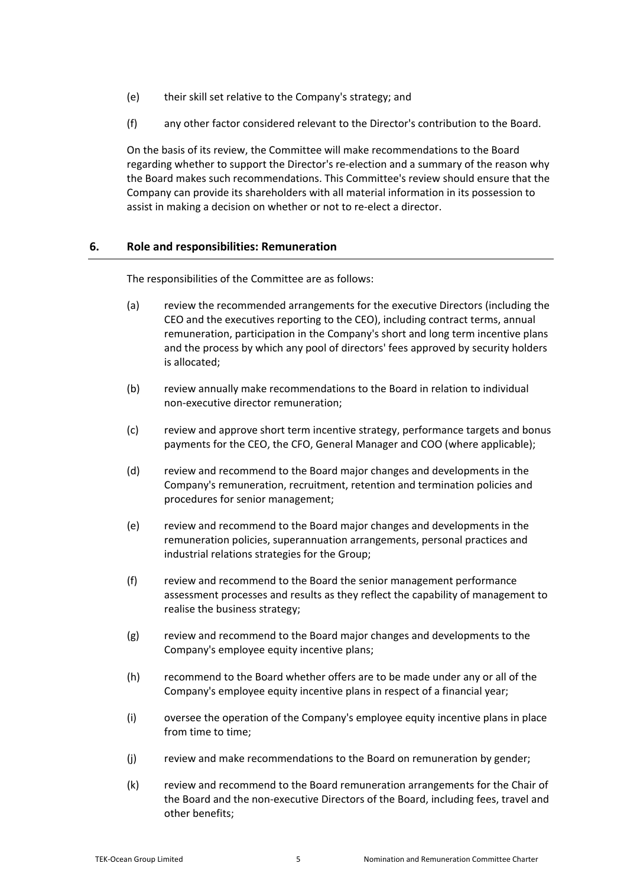- (e) their skill set relative to the Company's strategy; and
- (f) any other factor considered relevant to the Director's contribution to the Board.

On the basis of its review, the Committee will make recommendations to the Board regarding whether to support the Director's re-election and a summary of the reason why the Board makes such recommendations. This Committee's review should ensure that the Company can provide its shareholders with all material information in its possession to assist in making a decision on whether or not to re-elect a director.

## **6. Role and responsibilities: Remuneration**

The responsibilities of the Committee are as follows:

- (a) review the recommended arrangements for the executive Directors (including the CEO and the executives reporting to the CEO), including contract terms, annual remuneration, participation in the Company's short and long term incentive plans and the process by which any pool of directors' fees approved by security holders is allocated;
- (b) review annually make recommendations to the Board in relation to individual non-executive director remuneration;
- (c) review and approve short term incentive strategy, performance targets and bonus payments for the CEO, the CFO, General Manager and COO (where applicable);
- (d) review and recommend to the Board major changes and developments in the Company's remuneration, recruitment, retention and termination policies and procedures for senior management;
- (e) review and recommend to the Board major changes and developments in the remuneration policies, superannuation arrangements, personal practices and industrial relations strategies for the Group;
- (f) review and recommend to the Board the senior management performance assessment processes and results as they reflect the capability of management to realise the business strategy;
- (g) review and recommend to the Board major changes and developments to the Company's employee equity incentive plans;
- (h) recommend to the Board whether offers are to be made under any or all of the Company's employee equity incentive plans in respect of a financial year;
- (i) oversee the operation of the Company's employee equity incentive plans in place from time to time;
- (j) review and make recommendations to the Board on remuneration by gender;
- (k) review and recommend to the Board remuneration arrangements for the Chair of the Board and the non-executive Directors of the Board, including fees, travel and other benefits;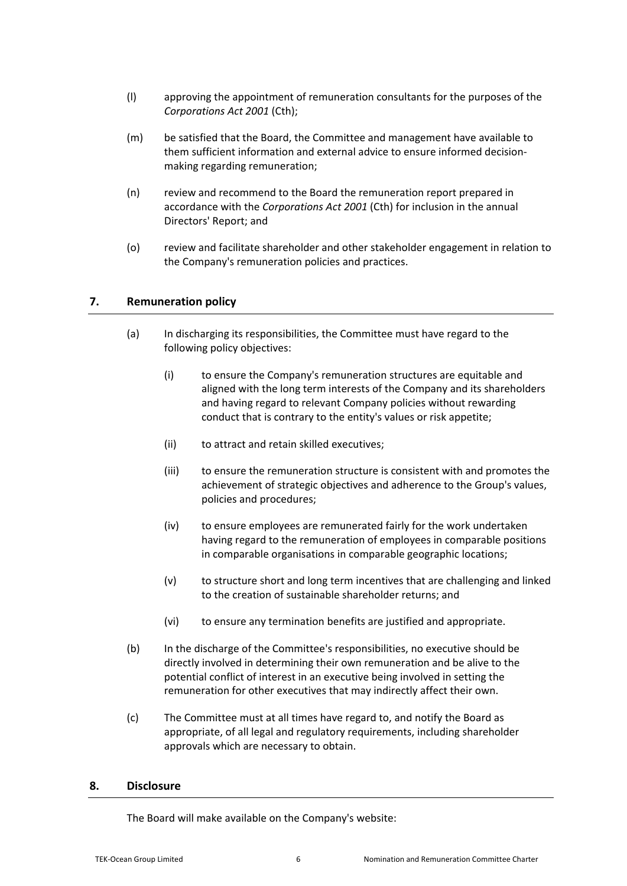- (l) approving the appointment of remuneration consultants for the purposes of the *Corporations Act 2001* (Cth);
- (m) be satisfied that the Board, the Committee and management have available to them sufficient information and external advice to ensure informed decisionmaking regarding remuneration;
- (n) review and recommend to the Board the remuneration report prepared in accordance with the *Corporations Act 2001* (Cth) for inclusion in the annual Directors' Report; and
- (o) review and facilitate shareholder and other stakeholder engagement in relation to the Company's remuneration policies and practices.

## **7. Remuneration policy**

- (a) In discharging its responsibilities, the Committee must have regard to the following policy objectives:
	- (i) to ensure the Company's remuneration structures are equitable and aligned with the long term interests of the Company and its shareholders and having regard to relevant Company policies without rewarding conduct that is contrary to the entity's values or risk appetite;
	- (ii) to attract and retain skilled executives;
	- (iii) to ensure the remuneration structure is consistent with and promotes the achievement of strategic objectives and adherence to the Group's values, policies and procedures;
	- (iv) to ensure employees are remunerated fairly for the work undertaken having regard to the remuneration of employees in comparable positions in comparable organisations in comparable geographic locations;
	- (v) to structure short and long term incentives that are challenging and linked to the creation of sustainable shareholder returns; and
	- (vi) to ensure any termination benefits are justified and appropriate.
- (b) In the discharge of the Committee's responsibilities, no executive should be directly involved in determining their own remuneration and be alive to the potential conflict of interest in an executive being involved in setting the remuneration for other executives that may indirectly affect their own.
- (c) The Committee must at all times have regard to, and notify the Board as appropriate, of all legal and regulatory requirements, including shareholder approvals which are necessary to obtain.

## **8. Disclosure**

The Board will make available on the Company's website: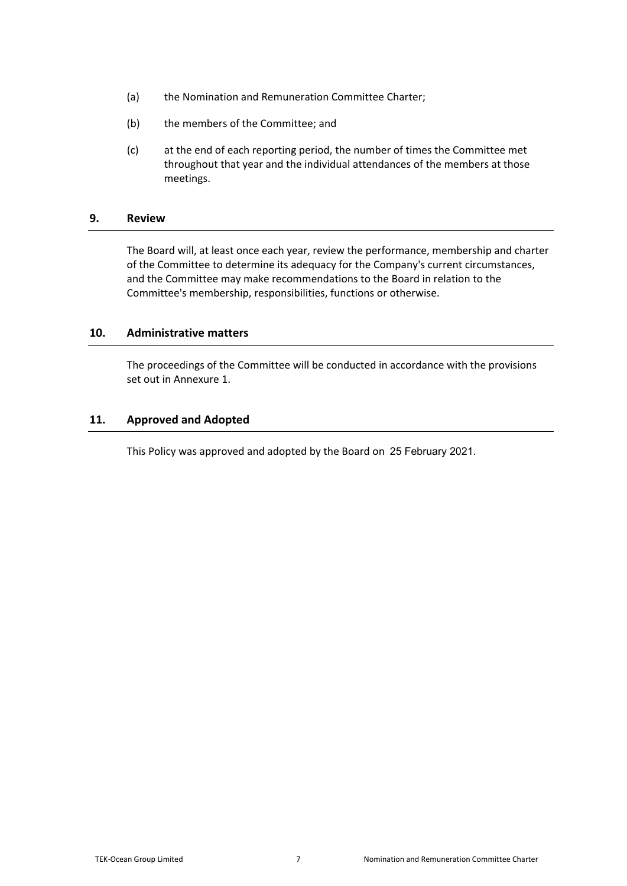- (a) the Nomination and Remuneration Committee Charter;
- (b) the members of the Committee; and
- (c) at the end of each reporting period, the number of times the Committee met throughout that year and the individual attendances of the members at those meetings.

## **9. Review**

The Board will, at least once each year, review the performance, membership and charter of the Committee to determine its adequacy for the Company's current circumstances, and the Committee may make recommendations to the Board in relation to the Committee's membership, responsibilities, functions or otherwise.

#### **10. Administrative matters**

The proceedings of the Committee will be conducted in accordance with the provisions set out in Annexur[e 1.](#page-7-0)

## **11. Approved and Adopted**

This Policy was approved and adopted by the Board on 25 February 2021.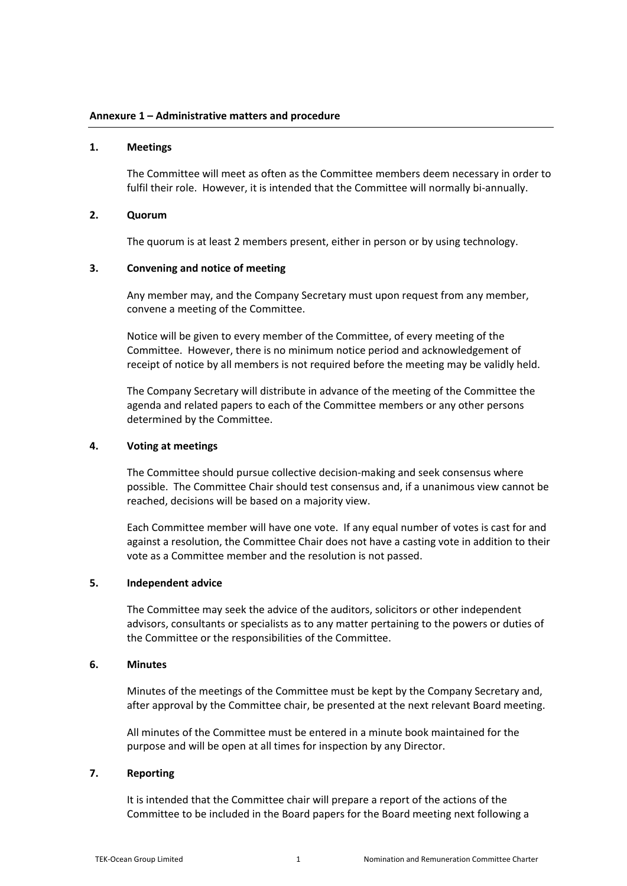#### <span id="page-7-0"></span>**1. Meetings**

The Committee will meet as often as the Committee members deem necessary in order to fulfil their role. However, it is intended that the Committee will normally bi-annually.

#### **2. Quorum**

The quorum is at least 2 members present, either in person or by using technology.

#### **3. Convening and notice of meeting**

Any member may, and the Company Secretary must upon request from any member, convene a meeting of the Committee.

Notice will be given to every member of the Committee, of every meeting of the Committee. However, there is no minimum notice period and acknowledgement of receipt of notice by all members is not required before the meeting may be validly held.

The Company Secretary will distribute in advance of the meeting of the Committee the agenda and related papers to each of the Committee members or any other persons determined by the Committee.

#### **4. Voting at meetings**

The Committee should pursue collective decision-making and seek consensus where possible. The Committee Chair should test consensus and, if a unanimous view cannot be reached, decisions will be based on a majority view.

Each Committee member will have one vote. If any equal number of votes is cast for and against a resolution, the Committee Chair does not have a casting vote in addition to their vote as a Committee member and the resolution is not passed.

## **5. Independent advice**

The Committee may seek the advice of the auditors, solicitors or other independent advisors, consultants or specialists as to any matter pertaining to the powers or duties of the Committee or the responsibilities of the Committee.

#### **6. Minutes**

Minutes of the meetings of the Committee must be kept by the Company Secretary and, after approval by the Committee chair, be presented at the next relevant Board meeting.

All minutes of the Committee must be entered in a minute book maintained for the purpose and will be open at all times for inspection by any Director.

#### **7. Reporting**

It is intended that the Committee chair will prepare a report of the actions of the Committee to be included in the Board papers for the Board meeting next following a